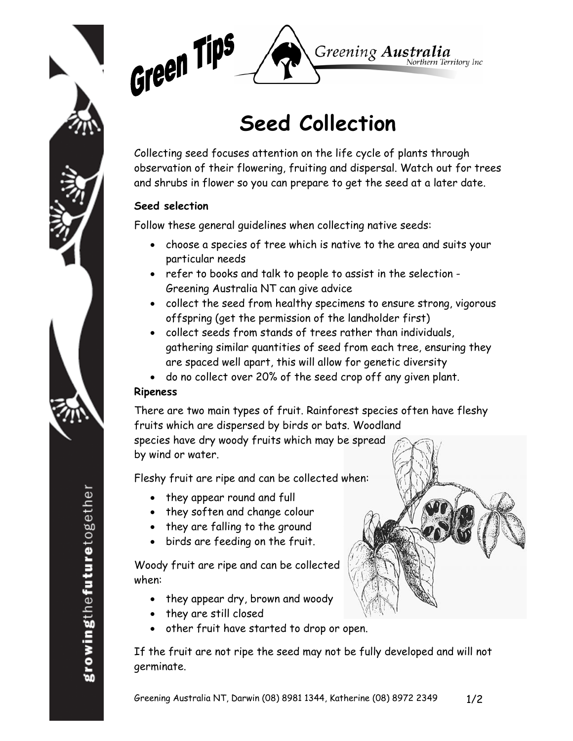



# **Seed Collection**

Collecting seed focuses attention on the life cycle of plants through observation of their flowering, fruiting and dispersal. Watch out for trees and shrubs in flower so you can prepare to get the seed at a later date.

# **Seed selection**

Follow these general guidelines when collecting native seeds:

- choose a species of tree which is native to the area and suits your particular needs
- refer to books and talk to people to assist in the selection Greening Australia NT can give advice
- collect the seed from healthy specimens to ensure strong, vigorous offspring (get the permission of the landholder first)
- collect seeds from stands of trees rather than individuals, gathering similar quantities of seed from each tree, ensuring they are spaced well apart, this will allow for genetic diversity
- do no collect over 20% of the seed crop off any given plant.

## **Ripeness**

There are two main types of fruit. Rainforest species often have fleshy fruits which are dispersed by birds or bats. Woodland species have dry woody fruits which may be spread

by wind or water.

Fleshy fruit are ripe and can be collected when:

- they appear round and full
- they soften and change colour
- they are falling to the ground
- birds are feeding on the fruit.

Woody fruit are ripe and can be collected when:

- they appear dry, brown and woody
- they are still closed
- other fruit have started to drop or open.

If the fruit are not ripe the seed may not be fully developed and will not germinate.